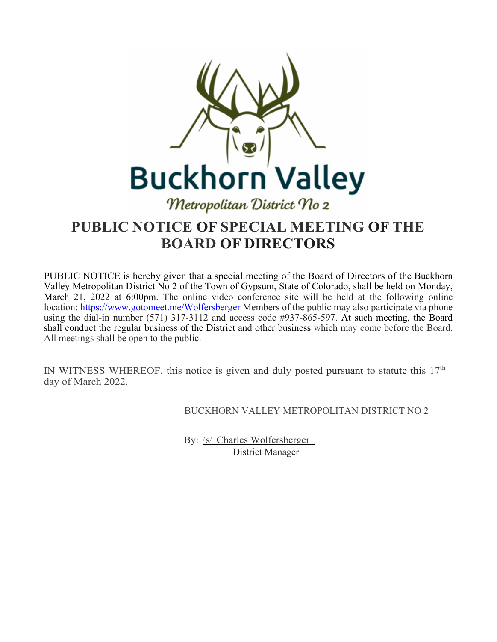

## **PUBLIC NOTICE OF SPECIAL MEETING OF THE BOARD OF DIRECTORS**

PUBLIC NOTICE is hereby given that a special meeting of the Board of Directors of the Buckhorn Valley Metropolitan District No 2 of the Town of Gypsum, State of Colorado, shall be held on Monday, March 21, 2022 at 6:00pm. The online video conference site will be held at the following online location:<https://www.gotomeet.me/Wolfersberger> Members of the public may also participate via phone using the dial-in number (571) 317-3112 and access code #937-865-597. At such meeting, the Board shall conduct the regular business of the District and other business which may come before the Board. All meetings shall be open to the public.

IN WITNESS WHEREOF, this notice is given and duly posted pursuant to statute this  $17<sup>th</sup>$ day of March 2022.

BUCKHORN VALLEY METROPOLITAN DISTRICT NO 2

By: /s/ Charles Wolfersberger\_ District Manager